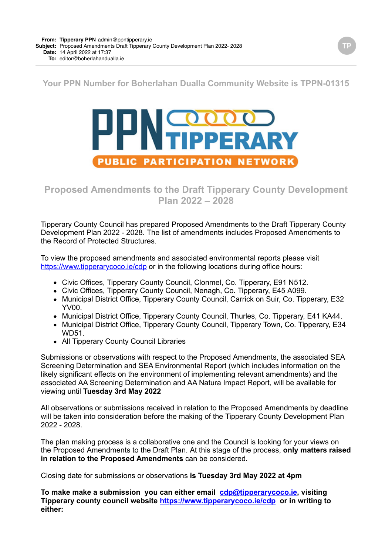### **Your PPN Number for Boherlahan Dualla Community Website is TPPN-01315**

# **COOOO PUBLIC PARTICIPATION NETWORK**

## **Proposed Amendments to the Draft Tipperary County Development Plan 2022 – 2028**

Tipperary County Council has prepared Proposed Amendments to the Draft Tipperary County Development Plan 2022 - 2028. The list of amendments includes Proposed Amendments to the Record of Protected Structures.

To view the proposed amendments and associated environmental reports please visit <https://www.tipperarycoco.ie/cdp>or in the following locations during office hours:

- Civic Offices, Tipperary County Council, Clonmel, Co. Tipperary, E91 N512.
- Civic Offices, Tipperary County Council, Nenagh, Co. Tipperary, E45 A099.
- Municipal District Office, Tipperary County Council, Carrick on Suir, Co. Tipperary, E32 YV00.
- Municipal District Office, Tipperary County Council, Thurles, Co. Tipperary, E41 KA44.
- Municipal District Office, Tipperary County Council, Tipperary Town, Co. Tipperary, E34 WD51.
- All Tipperary County Council Libraries

Submissions or observations with respect to the Proposed Amendments, the associated SEA Screening Determination and SEA Environmental Report (which includes information on the likely significant effects on the environment of implementing relevant amendments) and the associated AA Screening Determination and AA Natura Impact Report, will be available for viewing until **Tuesday 3rd May 2022**

All observations or submissions received in relation to the Proposed Amendments by deadline will be taken into consideration before the making of the Tipperary County Development Plan 2022 - 2028.

The plan making process is a collaborative one and the Council is looking for your views on the Proposed Amendments to the Draft Plan. At this stage of the process, **only matters raised in relation to the Proposed Amendments** can be considered.

Closing date for submissions or observations **is Tuesday 3rd May 2022 at 4pm**

**To make make a submission you can either email [cdp@tipperarycoco.ie](mailto:cdp@tipperarycoco.ie), visiting Tipperary county council website <https://www.tipperarycoco.ie/cdp> or in writing to either:**